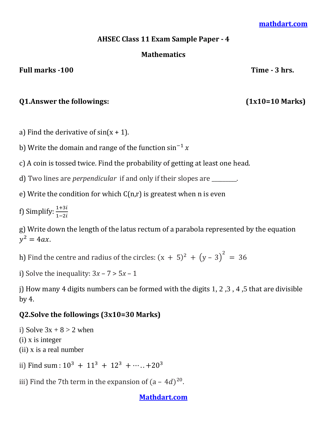#### **[mathdart.com](https://mathdart.com/)**

### **AHSEC Class 11 Exam Sample Paper - 4**

### **Mathematics**

#### Full marks -100 Time - 3 hrs.

## **Q1.Answer the followings: (1x10=10 Marks)**

a) Find the derivative of  $sin(x + 1)$ .

b) Write the domain and range of the function  $\sin^{-1} x$ 

c) A coin is tossed twice. Find the probability of getting at least one head.

d) Two lines are *perpendicular* if and only if their slopes are \_\_\_\_\_\_\_\_\_.

e) Write the condition for which  $C(n,r)$  is greatest when n is even

f) Simplify:  $\frac{1}{1}$ 

g) Write down the length of the latus rectum of a parabola represented by the equation  $y^2$ 

h) Find the centre and radius of the circles:  $(x + 5)^2 + (y - 3)^2 =$ 

i) Solve the inequality:  $3x - 7 > 5x - 1$ 

j) How many 4 digits numbers can be formed with the digits 1, 2, 3, 4, 5 that are divisible by 4.

## **Q2.Solve the followings (3x10=30 Marks)**

i) Solve  $3x + 8 > 2$  when (i) x is integer (ii) x is a real number

ii) Find sum :  $10^3 + 11^3 + 12^3 + \cdots$  +  $20^3$ 

iii) Find the 7th term in the expansion of  $(a - 4d)^{20}$ .

## **[Mathdart.com](https://mathdart.com/)**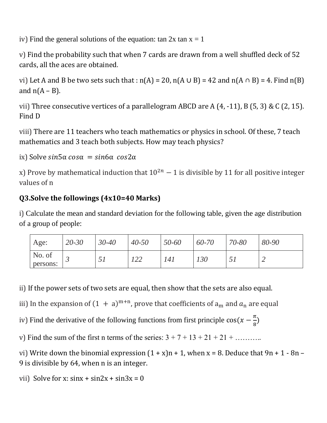iv) Find the general solutions of the equation: tan  $2x \tan x = 1$ 

v) Find the probability such that when 7 cards are drawn from a well shuffled deck of 52 cards, all the aces are obtained.

vi) Let A and B be two sets such that :  $n(A) = 20$ ,  $n(A \cup B) = 42$  and  $n(A \cap B) = 4$ . Find  $n(B)$ and  $n(A - B)$ .

vii) Three consecutive vertices of a parallelogram ABCD are  $A(4, -11)$ ,  $B(5, 3)$  & C $(2, 15)$ . Find D

viii) There are 11 teachers who teach mathematics or physics in school. Of these, 7 teach mathematics and 3 teach both subjects. How may teach physics?

ix) Solve  $sin5\alpha cos\alpha = sin6\alpha cos2\alpha$ 

x) Prove by mathematical induction that  $10^{2n} - 1$  is divisible by 11 for all positive integer values of n

# **Q3.Solve the followings (4x10=40 Marks)**

i) Calculate the mean and standard deviation for the following table, given the age distribution of a group of people:

| Age:               | $20 - 30$ | $30 - 40$ | $40 - 50$ | 50-60 | 60-70 | 70-80 | 80-90 |
|--------------------|-----------|-----------|-----------|-------|-------|-------|-------|
| No. of<br>persons: |           | ◡▴        | . 44      | 141   | 130   | ◡▴    |       |

ii) If the power sets of two sets are equal, then show that the sets are also equal.

iii) In the expansion of  $(1 + a)^{m+n}$ , prove that coefficients of  $a_m$  and  $a_n$  are equal

iv) Find the derivative of the following functions from first principle  $\cos(x - \frac{\pi}{2})$  $\frac{\pi}{8}$ 

v) Find the sum of the first n terms of the series:  $3 + 7 + 13 + 21 + 21 + \dots$ 

vi) Write down the binomial expression  $(1 + x)n + 1$ , when  $x = 8$ . Deduce that  $9n + 1 - 8n -$ 9 is divisible by 64, when n is an integer.

vii) Solve for x:  $\sin x + \sin 2x + \sin 3x = 0$